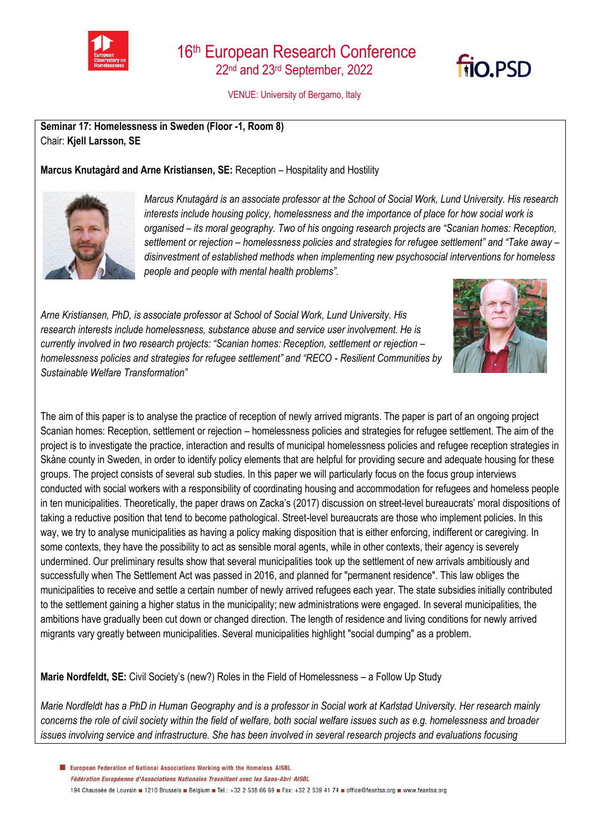

VENUE: University of Bergamo, Italy

**Seminar 17: Homelessness in Sweden (Floor -1, Room 8)** Chair: **Kjell Larsson, SE**

**Marcus Knutagård and Arne Kristiansen, SE:** Reception – Hospitality and Hostility



*Marcus Knutagård is an associate professor at the School of Social Work, Lund University. His research interests include housing policy, homelessness and the importance of place for how social work is organised – its moral geography. Two of his ongoing research projects are "Scanian homes: Reception, settlement or rejection – homelessness policies and strategies for refugee settlement" and "Take away – disinvestment of established methods when implementing new psychosocial interventions for homeless people and people with mental health problems".*

*Arne Kristiansen, PhD, is associate professor at School of Social Work, Lund University. His research interests include homelessness, substance abuse and service user involvement. He is currently involved in two research projects: "Scanian homes: Reception, settlement or rejection – homelessness policies and strategies for refugee settlement" and "RECO - Resilient Communities by Sustainable Welfare Transformation"*



**FIO.PSD** 

The aim of this paper is to analyse the practice of reception of newly arrived migrants. The paper is part of an ongoing project Scanian homes: Reception, settlement or rejection – homelessness policies and strategies for refugee settlement. The aim of the project is to investigate the practice, interaction and results of municipal homelessness policies and refugee reception strategies in Skåne county in Sweden, in order to identify policy elements that are helpful for providing secure and adequate housing for these groups. The project consists of several sub studies. In this paper we will particularly focus on the focus group interviews conducted with social workers with a responsibility of coordinating housing and accommodation for refugees and homeless people in ten municipalities. Theoretically, the paper draws on Zacka's (2017) discussion on street-level bureaucrats' moral dispositions of taking a reductive position that tend to become pathological. Street-level bureaucrats are those who implement policies. In this way, we try to analyse municipalities as having a policy making disposition that is either enforcing, indifferent or caregiving. In some contexts, they have the possibility to act as sensible moral agents, while in other contexts, their agency is severely undermined. Our preliminary results show that several municipalities took up the settlement of new arrivals ambitiously and successfully when The Settlement Act was passed in 2016, and planned for "permanent residence". This law obliges the municipalities to receive and settle a certain number of newly arrived refugees each year. The state subsidies initially contributed to the settlement gaining a higher status in the municipality; new administrations were engaged. In several municipalities, the ambitions have gradually been cut down or changed direction. The length of residence and living conditions for newly arrived migrants vary greatly between municipalities. Several municipalities highlight "social dumping" as a problem.

**Marie Nordfeldt, SE:** Civil Society's (new?) Roles in the Field of Homelessness – a Follow Up Study

*Marie Nordfeldt has a PhD in Human Geography and is a professor in Social work at Karlstad University. Her research mainly concerns the role of civil society within the field of welfare, both social welfare issues such as e.g. homelessness and broader issues involving service and infrastructure. She has been involved in several research projects and evaluations focusing* 

European Federation of National Associations Working with the Homeless AISBL Fédération Européenne d'Associations Nationales Travaillant avec les Sans-Abri AISBL 194 Chaussée de Louvain 1210 Brussels Belgium B Tel.: +32 2 538 66 69 B Fax: +32 2 539 41 74 B office@feantsa.org B www.feantsa.org